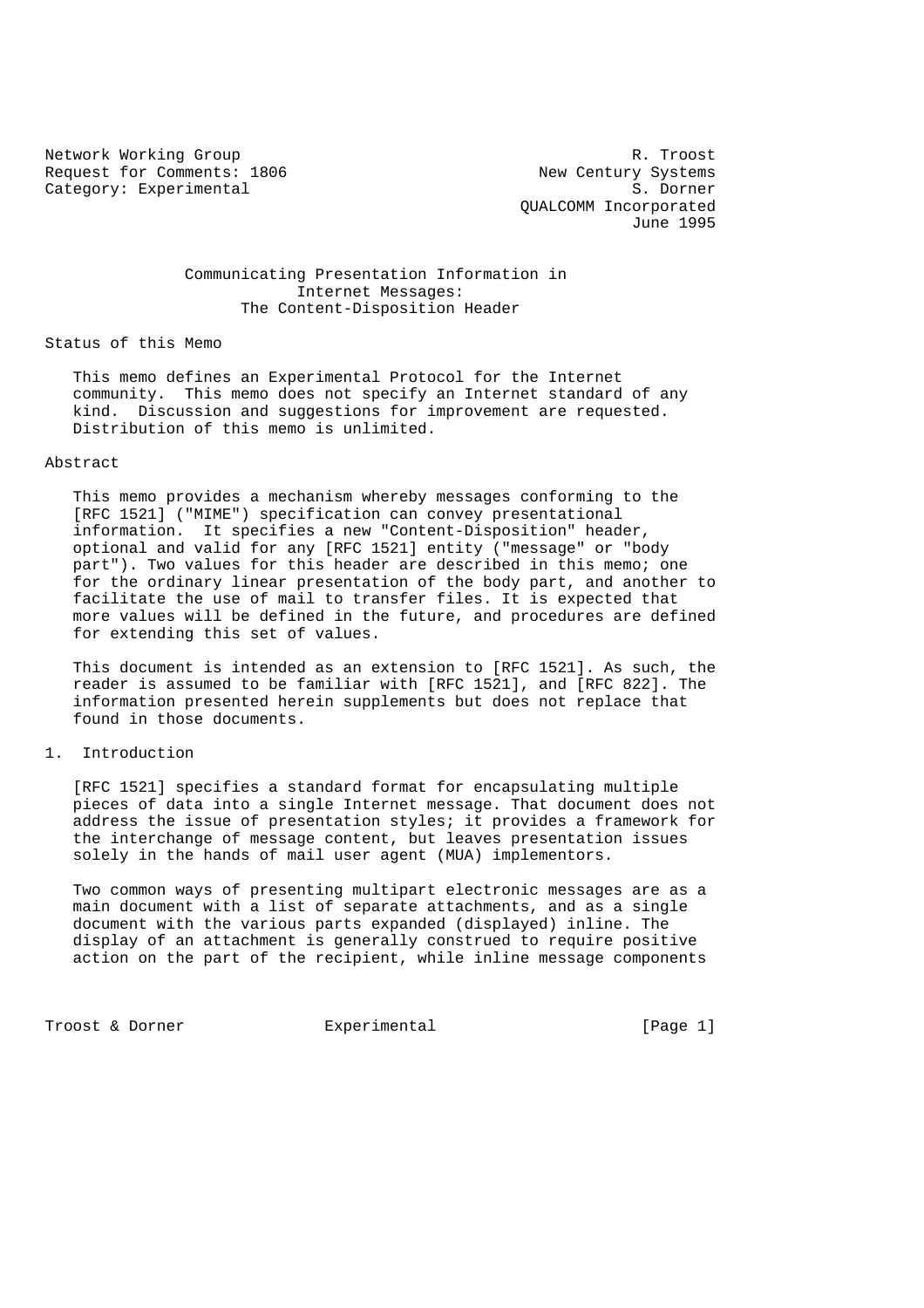Request for Comments: 1806 New Century Systems Category: Experimental S. Dorner

Network Working Group Research Control of the R. Troost QUALCOMM Incorporated June 1995

# Communicating Presentation Information in Internet Messages: The Content-Disposition Header

Status of this Memo

 This memo defines an Experimental Protocol for the Internet community. This memo does not specify an Internet standard of any kind. Discussion and suggestions for improvement are requested. Distribution of this memo is unlimited.

## Abstract

 This memo provides a mechanism whereby messages conforming to the [RFC 1521] ("MIME") specification can convey presentational information. It specifies a new "Content-Disposition" header, optional and valid for any [RFC 1521] entity ("message" or "body part"). Two values for this header are described in this memo; one for the ordinary linear presentation of the body part, and another to facilitate the use of mail to transfer files. It is expected that more values will be defined in the future, and procedures are defined for extending this set of values.

 This document is intended as an extension to [RFC 1521]. As such, the reader is assumed to be familiar with [RFC 1521], and [RFC 822]. The information presented herein supplements but does not replace that found in those documents.

#### 1. Introduction

 [RFC 1521] specifies a standard format for encapsulating multiple pieces of data into a single Internet message. That document does not address the issue of presentation styles; it provides a framework for the interchange of message content, but leaves presentation issues solely in the hands of mail user agent (MUA) implementors.

 Two common ways of presenting multipart electronic messages are as a main document with a list of separate attachments, and as a single document with the various parts expanded (displayed) inline. The display of an attachment is generally construed to require positive action on the part of the recipient, while inline message components

Troost & Dorner **Experimental** [Page 1]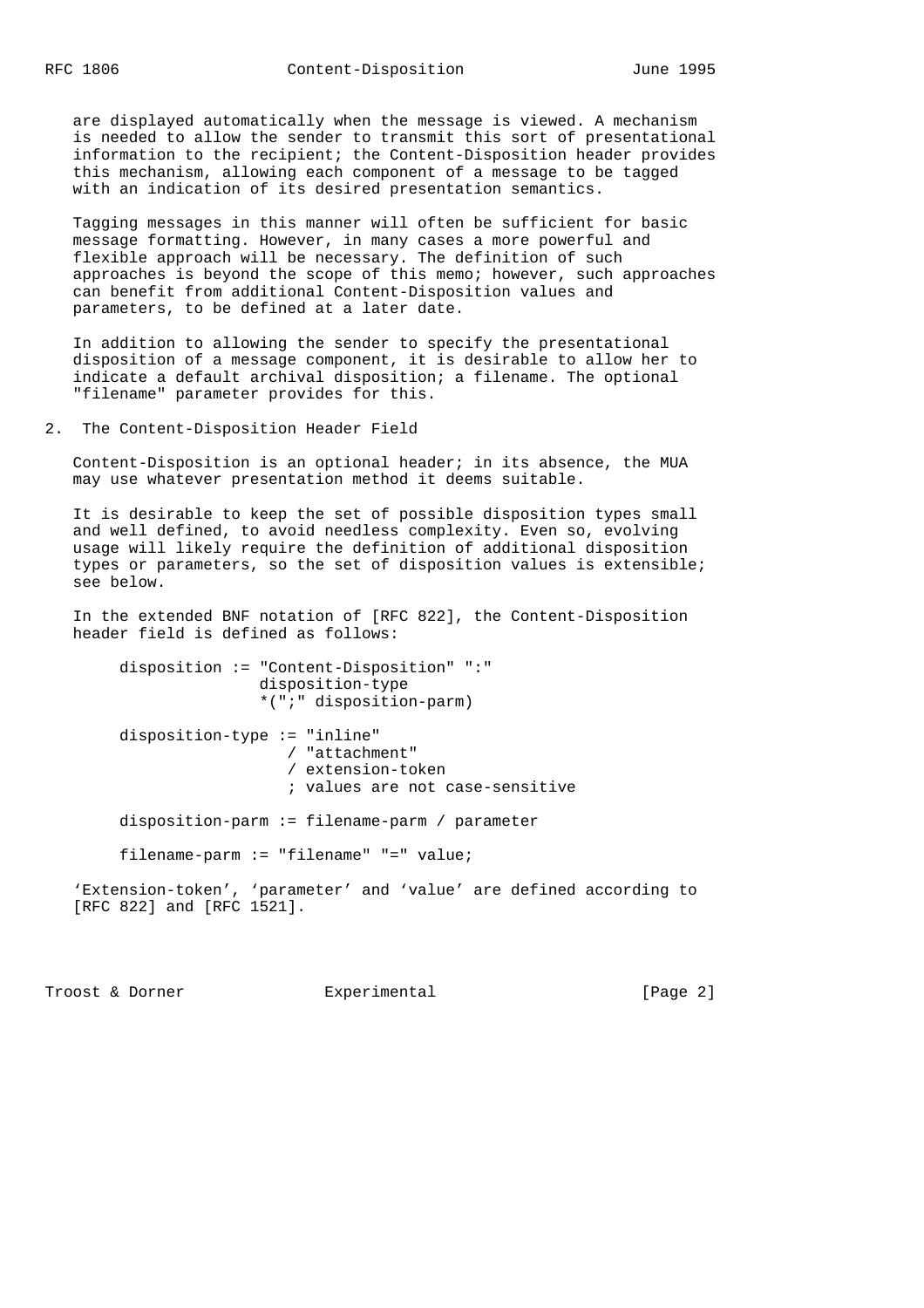are displayed automatically when the message is viewed. A mechanism is needed to allow the sender to transmit this sort of presentational information to the recipient; the Content-Disposition header provides this mechanism, allowing each component of a message to be tagged with an indication of its desired presentation semantics.

 Tagging messages in this manner will often be sufficient for basic message formatting. However, in many cases a more powerful and flexible approach will be necessary. The definition of such approaches is beyond the scope of this memo; however, such approaches can benefit from additional Content-Disposition values and parameters, to be defined at a later date.

 In addition to allowing the sender to specify the presentational disposition of a message component, it is desirable to allow her to indicate a default archival disposition; a filename. The optional "filename" parameter provides for this.

2. The Content-Disposition Header Field

 Content-Disposition is an optional header; in its absence, the MUA may use whatever presentation method it deems suitable.

 It is desirable to keep the set of possible disposition types small and well defined, to avoid needless complexity. Even so, evolving usage will likely require the definition of additional disposition types or parameters, so the set of disposition values is extensible; see below.

 In the extended BNF notation of [RFC 822], the Content-Disposition header field is defined as follows:

 disposition := "Content-Disposition" ":" disposition-type \*(";" disposition-parm) disposition-type := "inline" / "attachment" / extension-token ; values are not case-sensitive

disposition-parm := filename-parm / parameter

filename-parm := "filename" "=" value;

 'Extension-token', 'parameter' and 'value' are defined according to [RFC 822] and [RFC 1521].

Troost & Dorner **Experimental** Experimental [Page 2]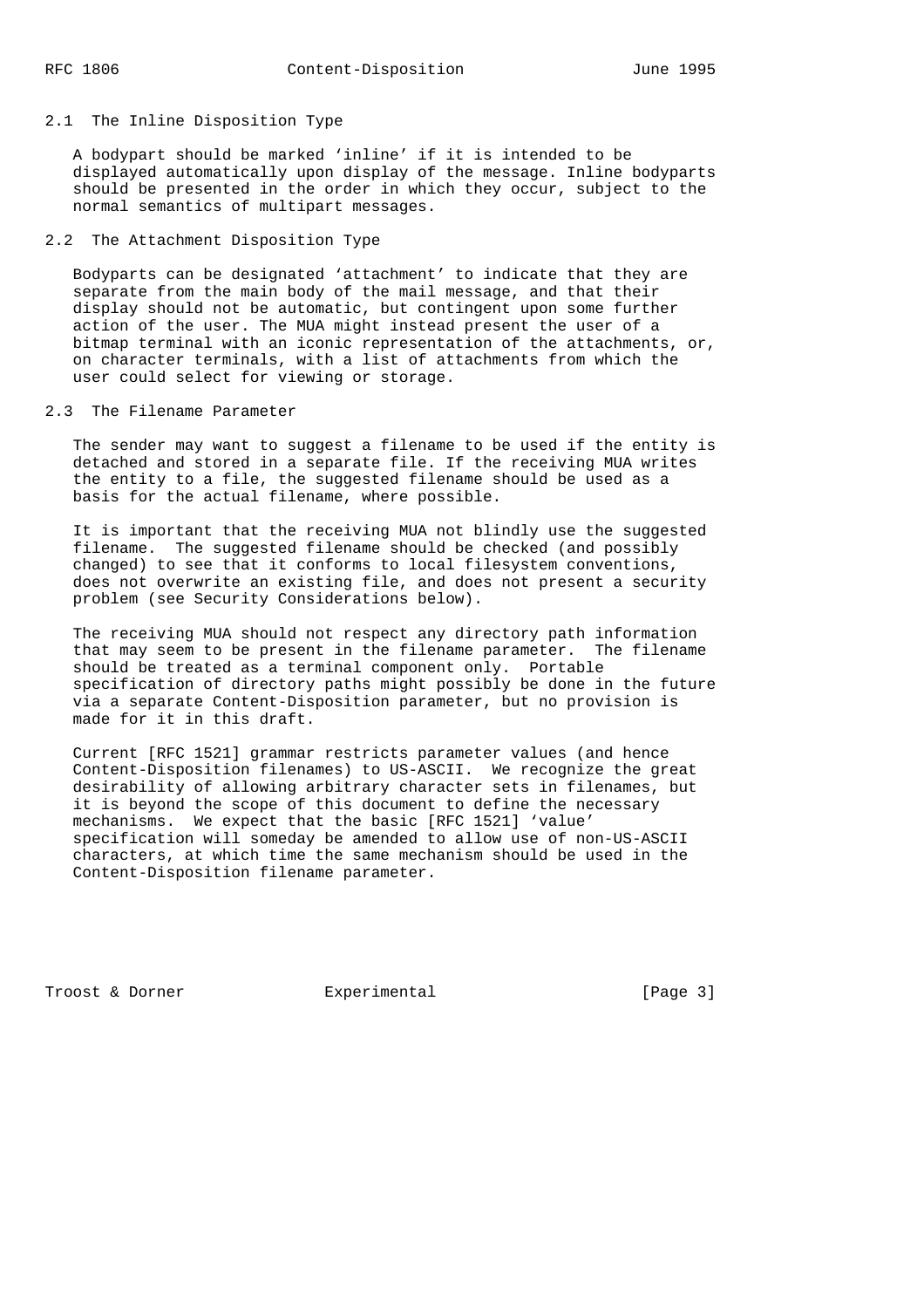#### 2.1 The Inline Disposition Type

 A bodypart should be marked 'inline' if it is intended to be displayed automatically upon display of the message. Inline bodyparts should be presented in the order in which they occur, subject to the normal semantics of multipart messages.

# 2.2 The Attachment Disposition Type

 Bodyparts can be designated 'attachment' to indicate that they are separate from the main body of the mail message, and that their display should not be automatic, but contingent upon some further action of the user. The MUA might instead present the user of a bitmap terminal with an iconic representation of the attachments, or, on character terminals, with a list of attachments from which the user could select for viewing or storage.

# 2.3 The Filename Parameter

 The sender may want to suggest a filename to be used if the entity is detached and stored in a separate file. If the receiving MUA writes the entity to a file, the suggested filename should be used as a basis for the actual filename, where possible.

 It is important that the receiving MUA not blindly use the suggested filename. The suggested filename should be checked (and possibly changed) to see that it conforms to local filesystem conventions, does not overwrite an existing file, and does not present a security problem (see Security Considerations below).

 The receiving MUA should not respect any directory path information that may seem to be present in the filename parameter. The filename should be treated as a terminal component only. Portable specification of directory paths might possibly be done in the future via a separate Content-Disposition parameter, but no provision is made for it in this draft.

 Current [RFC 1521] grammar restricts parameter values (and hence Content-Disposition filenames) to US-ASCII. We recognize the great desirability of allowing arbitrary character sets in filenames, but it is beyond the scope of this document to define the necessary mechanisms. We expect that the basic [RFC 1521] 'value' specification will someday be amended to allow use of non-US-ASCII characters, at which time the same mechanism should be used in the Content-Disposition filename parameter.

Troost & Dorner **Experimental** [Page 3]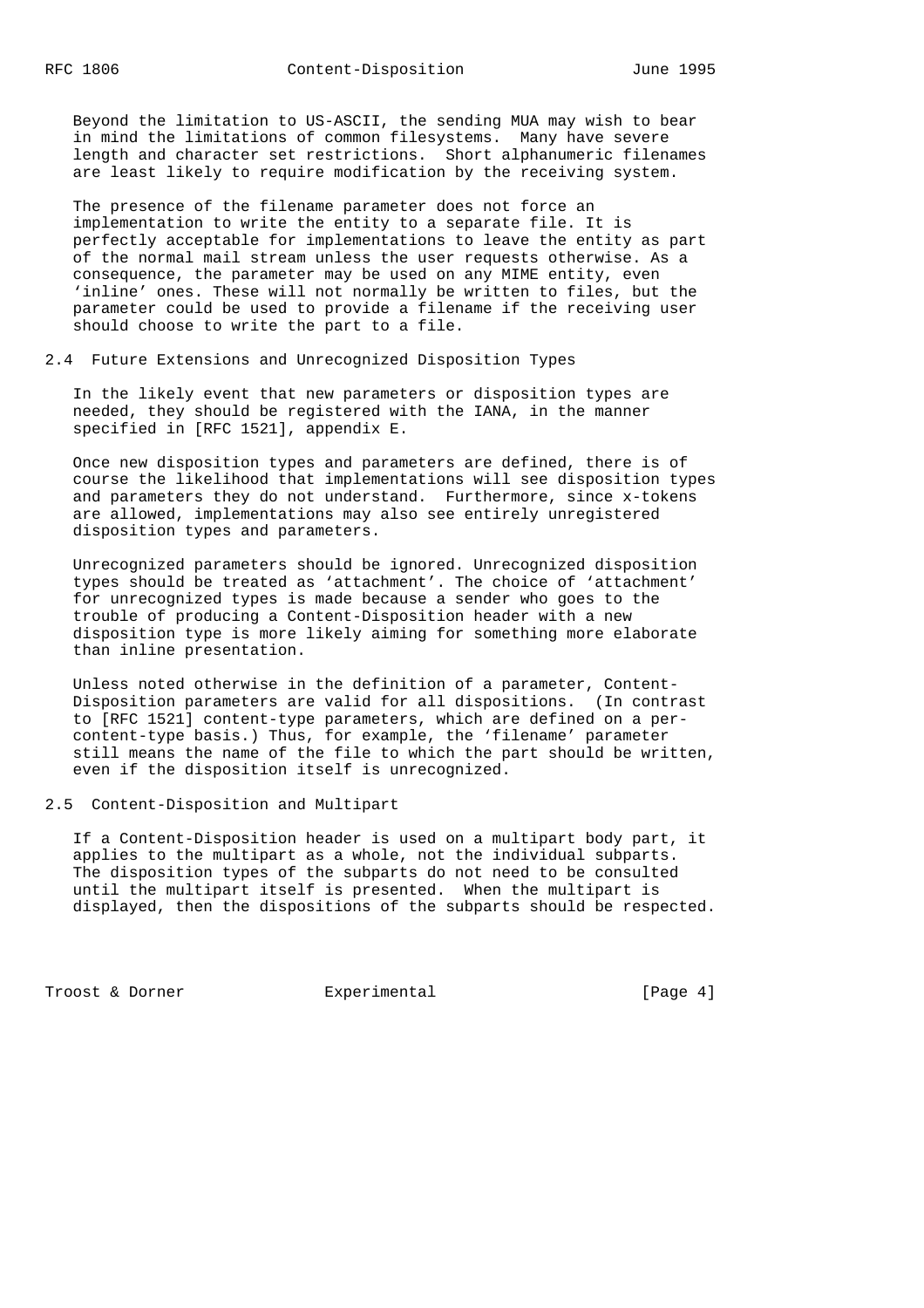Beyond the limitation to US-ASCII, the sending MUA may wish to bear in mind the limitations of common filesystems. Many have severe length and character set restrictions. Short alphanumeric filenames are least likely to require modification by the receiving system.

 The presence of the filename parameter does not force an implementation to write the entity to a separate file. It is perfectly acceptable for implementations to leave the entity as part of the normal mail stream unless the user requests otherwise. As a consequence, the parameter may be used on any MIME entity, even 'inline' ones. These will not normally be written to files, but the parameter could be used to provide a filename if the receiving user should choose to write the part to a file.

2.4 Future Extensions and Unrecognized Disposition Types

 In the likely event that new parameters or disposition types are needed, they should be registered with the IANA, in the manner specified in [RFC 1521], appendix E.

 Once new disposition types and parameters are defined, there is of course the likelihood that implementations will see disposition types and parameters they do not understand. Furthermore, since x-tokens are allowed, implementations may also see entirely unregistered disposition types and parameters.

 Unrecognized parameters should be ignored. Unrecognized disposition types should be treated as 'attachment'. The choice of 'attachment' for unrecognized types is made because a sender who goes to the trouble of producing a Content-Disposition header with a new disposition type is more likely aiming for something more elaborate than inline presentation.

 Unless noted otherwise in the definition of a parameter, Content- Disposition parameters are valid for all dispositions. (In contrast to [RFC 1521] content-type parameters, which are defined on a per content-type basis.) Thus, for example, the 'filename' parameter still means the name of the file to which the part should be written, even if the disposition itself is unrecognized.

2.5 Content-Disposition and Multipart

 If a Content-Disposition header is used on a multipart body part, it applies to the multipart as a whole, not the individual subparts. The disposition types of the subparts do not need to be consulted until the multipart itself is presented. When the multipart is displayed, then the dispositions of the subparts should be respected.

Troost & Dorner **Experimental** [Page 4]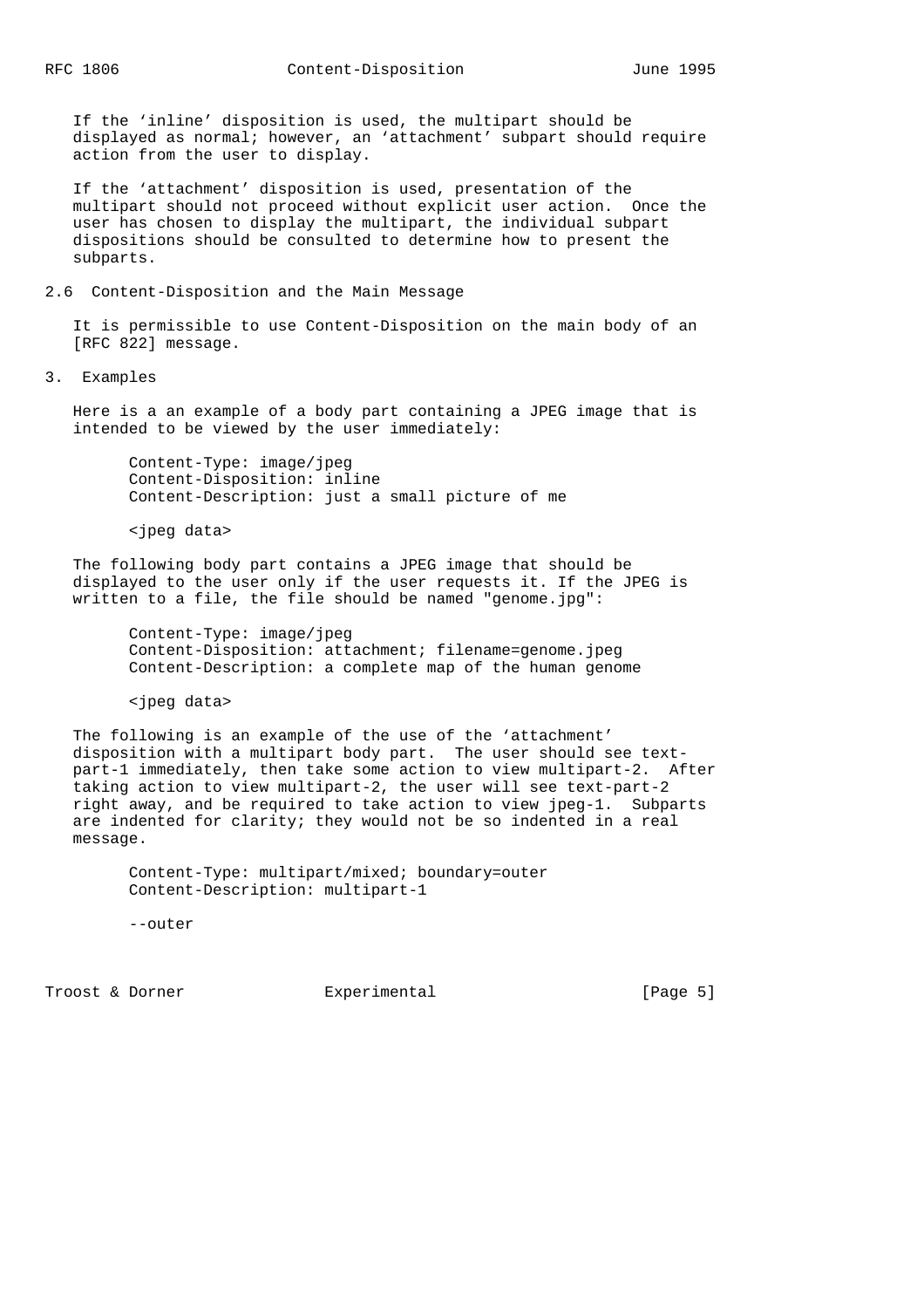If the 'inline' disposition is used, the multipart should be displayed as normal; however, an 'attachment' subpart should require action from the user to display.

 If the 'attachment' disposition is used, presentation of the multipart should not proceed without explicit user action. Once the user has chosen to display the multipart, the individual subpart dispositions should be consulted to determine how to present the subparts.

## 2.6 Content-Disposition and the Main Message

 It is permissible to use Content-Disposition on the main body of an [RFC 822] message.

3. Examples

 Here is a an example of a body part containing a JPEG image that is intended to be viewed by the user immediately:

 Content-Type: image/jpeg Content-Disposition: inline Content-Description: just a small picture of me

<jpeg data>

 The following body part contains a JPEG image that should be displayed to the user only if the user requests it. If the JPEG is written to a file, the file should be named "genome.jpg":

 Content-Type: image/jpeg Content-Disposition: attachment; filename=genome.jpeg Content-Description: a complete map of the human genome

<jpeg data>

 The following is an example of the use of the 'attachment' disposition with a multipart body part. The user should see text part-1 immediately, then take some action to view multipart-2. After taking action to view multipart-2, the user will see text-part-2 right away, and be required to take action to view jpeg-1. Subparts are indented for clarity; they would not be so indented in a real message.

 Content-Type: multipart/mixed; boundary=outer Content-Description: multipart-1

--outer

Troost & Dorner **Experimental** [Page 5]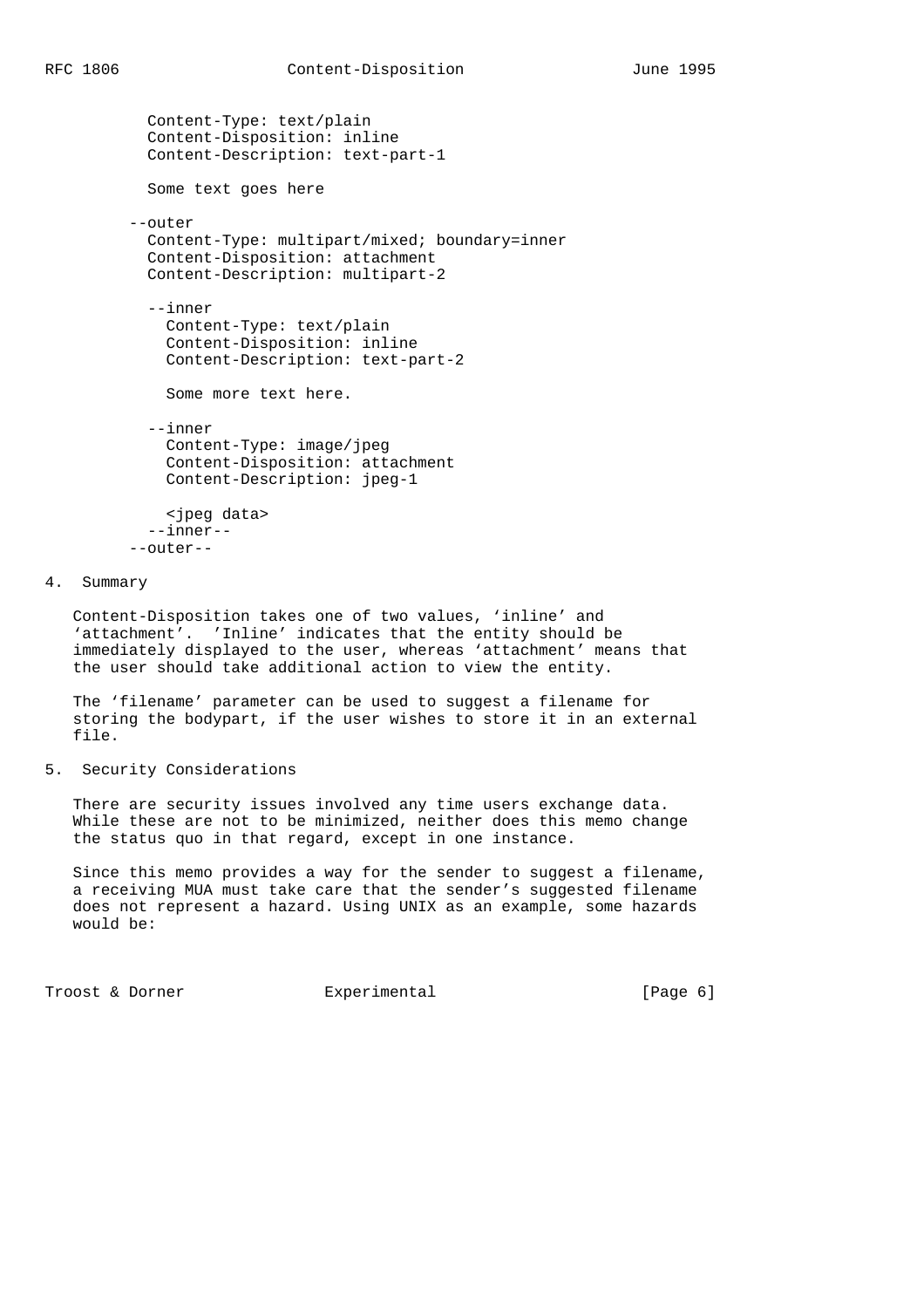```
 Content-Type: text/plain
 Content-Disposition: inline
 Content-Description: text-part-1
 Some text goes here
--outer
 Content-Type: multipart/mixed; boundary=inner
 Content-Disposition: attachment
 Content-Description: multipart-2
 --inner
   Content-Type: text/plain
   Content-Disposition: inline
   Content-Description: text-part-2
   Some more text here.
 --inner
   Content-Type: image/jpeg
   Content-Disposition: attachment
   Content-Description: jpeg-1
   <jpeg data>
  --inner--
--outer--
```

```
4. Summary
```
 Content-Disposition takes one of two values, 'inline' and 'attachment'. 'Inline' indicates that the entity should be immediately displayed to the user, whereas 'attachment' means that the user should take additional action to view the entity.

 The 'filename' parameter can be used to suggest a filename for storing the bodypart, if the user wishes to store it in an external file.

5. Security Considerations

 There are security issues involved any time users exchange data. While these are not to be minimized, neither does this memo change the status quo in that regard, except in one instance.

 Since this memo provides a way for the sender to suggest a filename, a receiving MUA must take care that the sender's suggested filename does not represent a hazard. Using UNIX as an example, some hazards would be:

Troost & Dorner **Experimental** [Page 6]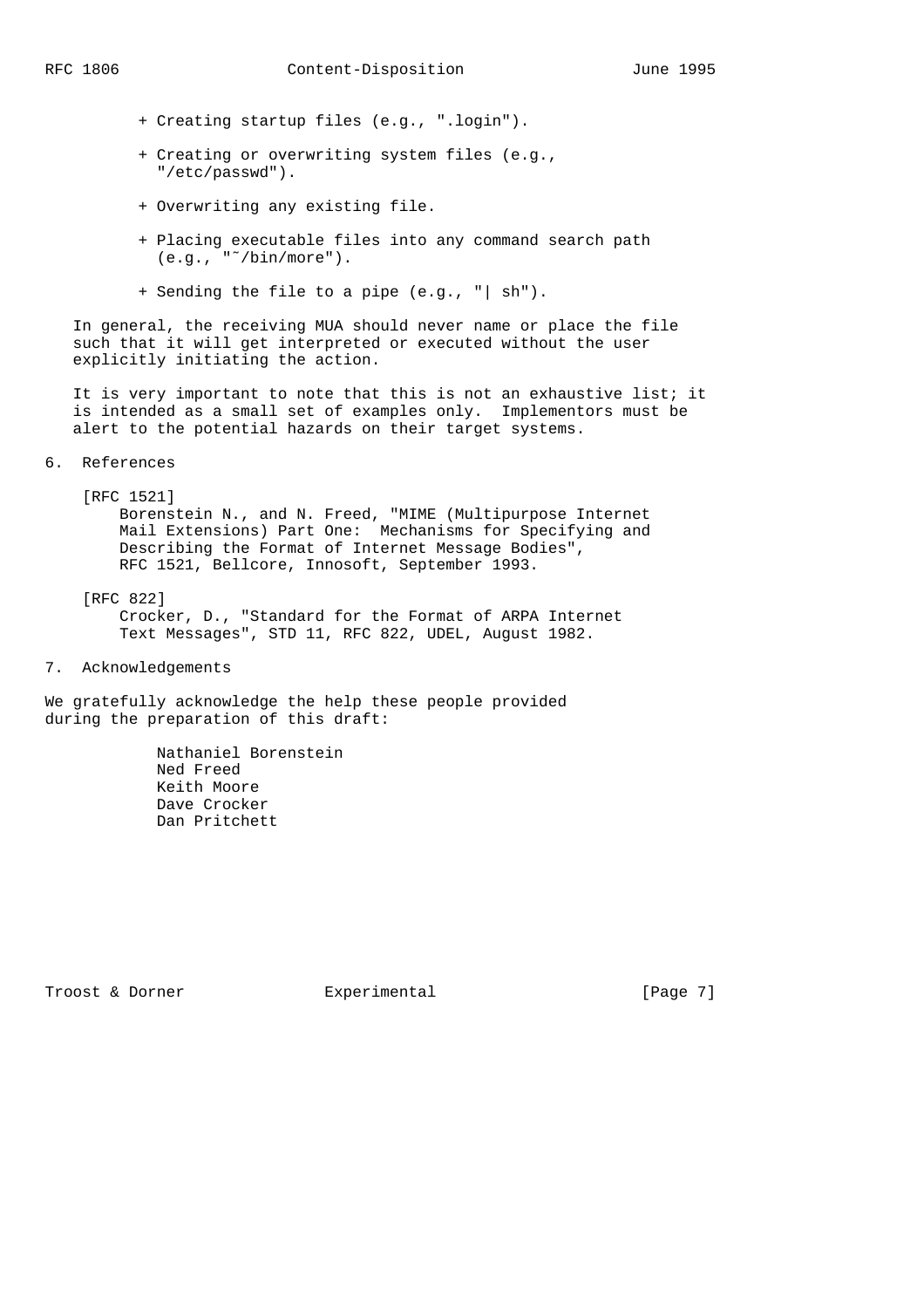- + Creating startup files (e.g., ".login").
- + Creating or overwriting system files (e.g., "/etc/passwd").
- + Overwriting any existing file.
- + Placing executable files into any command search path  $(e.q., "^*/bin/more").$
- + Sending the file to a pipe (e.g., "| sh").

 In general, the receiving MUA should never name or place the file such that it will get interpreted or executed without the user explicitly initiating the action.

It is very important to note that this is not an exhaustive list; it is intended as a small set of examples only. Implementors must be alert to the potential hazards on their target systems.

6. References

#### [RFC 1521]

 Borenstein N., and N. Freed, "MIME (Multipurpose Internet Mail Extensions) Part One: Mechanisms for Specifying and Describing the Format of Internet Message Bodies", RFC 1521, Bellcore, Innosoft, September 1993.

 [RFC 822] Crocker, D., "Standard for the Format of ARPA Internet Text Messages", STD 11, RFC 822, UDEL, August 1982.

7. Acknowledgements

We gratefully acknowledge the help these people provided during the preparation of this draft:

> Nathaniel Borenstein Ned Freed Keith Moore Dave Crocker Dan Pritchett

Troost & Dorner **Experimental** [Page 7]